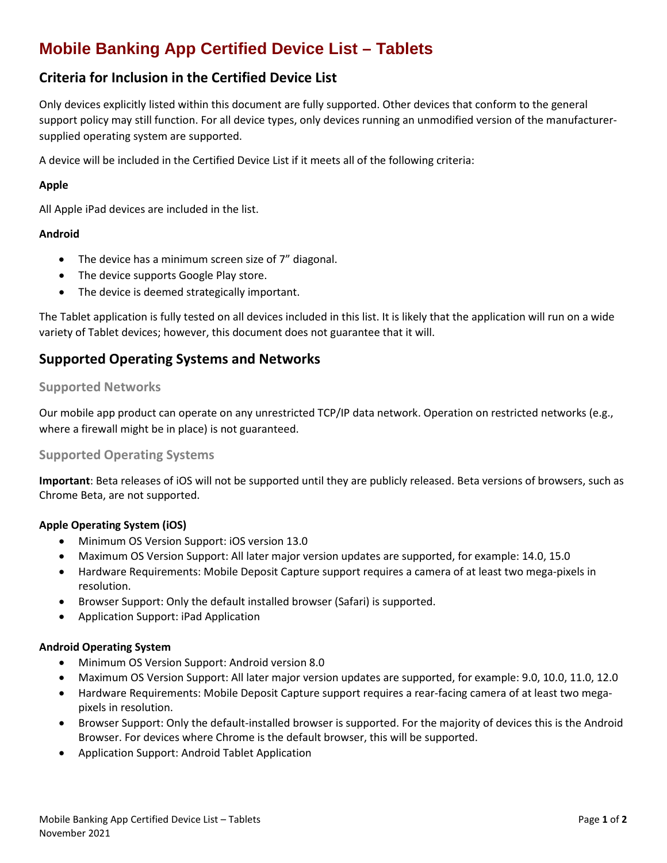# **Mobile Banking App Certified Device List – Tablets**

### **Criteria for Inclusion in the Certified Device List**

Only devices explicitly listed within this document are fully supported. Other devices that conform to the general support policy may still function. For all device types, only devices running an unmodified version of the manufacturersupplied operating system are supported.

A device will be included in the Certified Device List if it meets all of the following criteria:

#### **Apple**

All Apple iPad devices are included in the list.

#### **Android**

- The device has a minimum screen size of 7" diagonal.
- The device supports Google Play store.
- The device is deemed strategically important.

The Tablet application is fully tested on all devices included in this list. It is likely that the application will run on a wide variety of Tablet devices; however, this document does not guarantee that it will.

### **Supported Operating Systems and Networks**

#### **Supported Networks**

Our mobile app product can operate on any unrestricted TCP/IP data network. Operation on restricted networks (e.g., where a firewall might be in place) is not guaranteed.

#### **Supported Operating Systems**

**Important**: Beta releases of iOS will not be supported until they are publicly released. Beta versions of browsers, such as Chrome Beta, are not supported.

#### **Apple Operating System (iOS)**

- Minimum OS Version Support: iOS version 13.0
- Maximum OS Version Support: All later major version updates are supported, for example: 14.0, 15.0
- Hardware Requirements: Mobile Deposit Capture support requires a camera of at least two mega-pixels in resolution.
- Browser Support: Only the default installed browser (Safari) is supported.
- Application Support: iPad Application

#### **Android Operating System**

- Minimum OS Version Support: Android version 8.0
- Maximum OS Version Support: All later major version updates are supported, for example: 9.0, 10.0, 11.0, 12.0
- Hardware Requirements: Mobile Deposit Capture support requires a rear-facing camera of at least two megapixels in resolution.
- Browser Support: Only the default-installed browser is supported. For the majority of devices this is the Android Browser. For devices where Chrome is the default browser, this will be supported.
- Application Support: Android Tablet Application